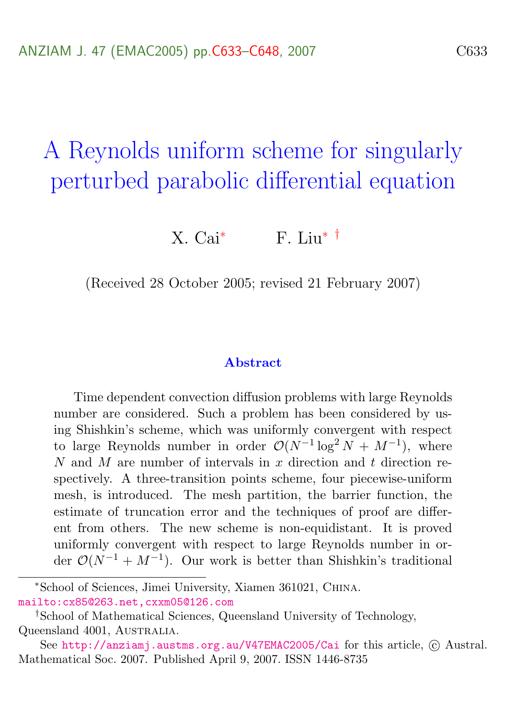# A Reynolds uniform scheme for singularly perturbed parabolic differential equation

X. Cai<sup>\*</sup> F. Liu<sup>\*</sup> <sup>†</sup>

(Received 28 October 2005; revised 21 February 2007)

#### Abstract

Time dependent convection diffusion problems with large Reynolds number are considered. Such a problem has been considered by using Shishkin's scheme, which was uniformly convergent with respect to large Reynolds number in order  $\mathcal{O}(N^{-1} \log^2 N + M^{-1})$ , where N and M are number of intervals in x direction and t direction respectively. A three-transition points scheme, four piecewise-uniform mesh, is introduced. The mesh partition, the barrier function, the estimate of truncation error and the techniques of proof are different from others. The new scheme is non-equidistant. It is proved uniformly convergent with respect to large Reynolds number in order  $\mathcal{O}(N^{-1} + M^{-1})$ . Our work is better than Shishkin's traditional

<sup>∗</sup>School of Sciences, Jimei University, Xiamen 361021, China. [mailto:cx85@263.net,cxxm05@126.com](mailto:cx85@263.net, cxxm05@126.com)

<sup>†</sup>School of Mathematical Sciences, Queensland University of Technology, Queensland 4001, AUSTRALIA.

See <http://anziamj.austms.org.au/V47EMAC2005/Cai> for this article,  $\odot$  Austral. Mathematical Soc. 2007. Published April 9, 2007. ISSN 1446-8735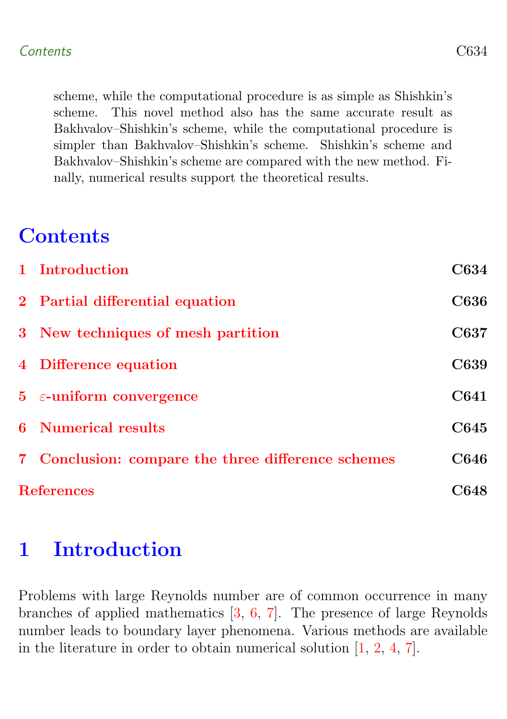<span id="page-1-1"></span>scheme, while the computational procedure is as simple as Shishkin's scheme. This novel method also has the same accurate result as Bakhvalov–Shishkin's scheme, while the computational procedure is simpler than Bakhvalov–Shishkin's scheme. Shishkin's scheme and Bakhvalov–Shishkin's scheme are compared with the new method. Finally, numerical results support the theoretical results.

## **Contents**

| 1 Introduction                                     | <b>C634</b> |
|----------------------------------------------------|-------------|
| 2 Partial differential equation                    | <b>C636</b> |
| 3 New techniques of mesh partition                 | C637        |
| 4 Difference equation                              | C639        |
| $5\epsilon$ -uniform convergence                   | C641        |
| <b>6</b> Numerical results                         | C645        |
| 7 Conclusion: compare the three difference schemes | C646        |
| <b>References</b>                                  | C648        |

## <span id="page-1-0"></span>1 Introduction

Problems with large Reynolds number are of common occurrence in many branches of applied mathematics [\[3,](#page-15-1) [6,](#page-15-2) [7\]](#page-15-3). The presence of large Reynolds number leads to boundary layer phenomena. Various methods are available in the literature in order to obtain numerical solution [\[1,](#page-15-4) [2,](#page-15-5) [4,](#page-15-6) [7\]](#page-15-3).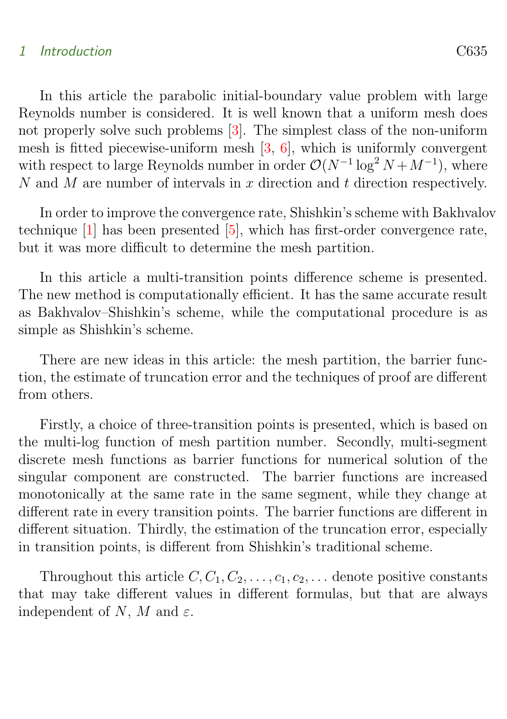#### <span id="page-2-1"></span>1 Introduction C635

In this article the parabolic initial-boundary value problem with large Reynolds number is considered. It is well known that a uniform mesh does not properly solve such problems [\[3\]](#page-15-1). The simplest class of the non-uniform mesh is fitted piecewise-uniform mesh [\[3,](#page-15-1) [6\]](#page-15-2), which is uniformly convergent with respect to large Reynolds number in order  $\mathcal{O}(N^{-1} \log^2 N + M^{-1})$ , where N and M are number of intervals in x direction and t direction respectively.

In order to improve the convergence rate, Shishkin's scheme with Bakhvalov technique  $[1]$  has been presented  $[5]$ , which has first-order convergence rate, but it was more difficult to determine the mesh partition.

In this article a multi-transition points difference scheme is presented. The new method is computationally efficient. It has the same accurate result as Bakhvalov–Shishkin's scheme, while the computational procedure is as simple as Shishkin's scheme.

There are new ideas in this article: the mesh partition, the barrier function, the estimate of truncation error and the techniques of proof are different from others.

Firstly, a choice of three-transition points is presented, which is based on the multi-log function of mesh partition number. Secondly, multi-segment discrete mesh functions as barrier functions for numerical solution of the singular component are constructed. The barrier functions are increased monotonically at the same rate in the same segment, while they change at different rate in every transition points. The barrier functions are different in different situation. Thirdly, the estimation of the truncation error, especially in transition points, is different from Shishkin's traditional scheme.

<span id="page-2-0"></span>Throughout this article  $C, C_1, C_2, \ldots, c_1, c_2, \ldots$  denote positive constants that may take different values in different formulas, but that are always independent of N, M and  $\varepsilon$ .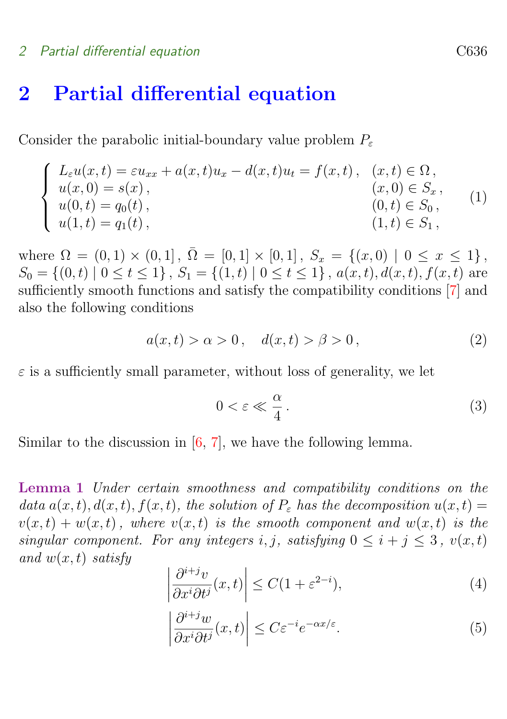#### <span id="page-3-2"></span>2 Partial differential equation C636

## 2 Partial differential equation

Consider the parabolic initial-boundary value problem  $P_{\varepsilon}$ 

$$
\begin{cases}\nL_{\varepsilon}u(x,t) = \varepsilon u_{xx} + a(x,t)u_x - d(x,t)u_t = f(x,t), & (x,t) \in \Omega, \\
u(x,0) = s(x), & (x,0) \in S_x, \\
u(0,t) = q_0(t), & (0,t) \in S_0, \\
u(1,t) = q_1(t), & (1,t) \in S_1,\n\end{cases}
$$
\n(1)

where  $\Omega = (0,1) \times (0,1], \overline{\Omega} = [0,1] \times [0,1], S_x = \{(x,0) \mid 0 \le x \le 1\},$  $S_0 = \{(0, t) | 0 \le t \le 1\}, S_1 = \{(1, t) | 0 \le t \le 1\}, a(x, t), d(x, t), f(x, t)$  are sufficiently smooth functions and satisfy the compatibility conditions [\[7\]](#page-15-3) and also the following conditions

$$
a(x,t) > \alpha > 0, \quad d(x,t) > \beta > 0,
$$
\n(2)

 $\varepsilon$  is a sufficiently small parameter, without loss of generality, we let

<span id="page-3-0"></span>
$$
0 < \varepsilon \ll \frac{\alpha}{4} \,. \tag{3}
$$

Similar to the discussion in  $[6, 7]$  $[6, 7]$ , we have the following lemma.

Lemma 1 Under certain smoothness and compatibility conditions on the data  $a(x, t)$ ,  $d(x, t)$ ,  $f(x, t)$ , the solution of  $P_{\varepsilon}$  has the decomposition  $u(x, t) =$  $v(x, t) + w(x, t)$ , where  $v(x, t)$  is the smooth component and  $w(x, t)$  is the singular component. For any integers i, j, satisfying  $0 \leq i + j \leq 3$ ,  $v(x, t)$ and  $w(x, t)$  satisfy

$$
\left| \frac{\partial^{i+j} v}{\partial x^i \partial t^j}(x, t) \right| \le C(1 + \varepsilon^{2-i}),\tag{4}
$$

<span id="page-3-1"></span>
$$
\left| \frac{\partial^{i+j} w}{\partial x^i \partial t^j}(x, t) \right| \le C \varepsilon^{-i} e^{-\alpha x/\varepsilon}.
$$
 (5)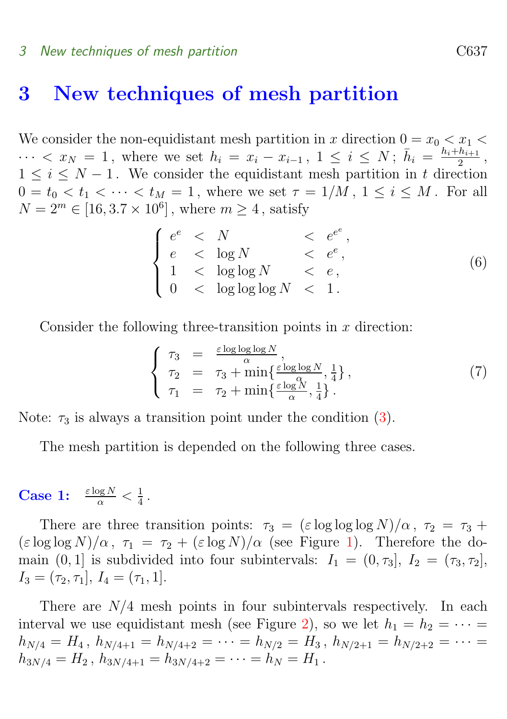#### 3 New techniques of mesh partition C637

### <span id="page-4-0"></span>3 New techniques of mesh partition

We consider the non-equidistant mesh partition in x direction  $0 = x_0 < x_1 <$  $\cdots < x_N = 1$ , where we set  $h_i = x_i - x_{i-1}$ ,  $1 \leq i \leq N$ ;  $\bar{h}_i = \frac{h_i + h_{i+1}}{2}$  $\frac{n_{i+1}}{2}$ ,  $1 \leq i \leq N-1$ . We consider the equidistant mesh partition in t direction  $0 = t_0 < t_1 < \cdots < t_M = 1$ , where we set  $\tau = 1/M$ ,  $1 \leq i \leq M$ . For all  $N = 2^m \in [16, 3.7 \times 10^6],$  where  $m \ge 4$ , satisfy

|  |  | $\langle e^{e^{\epsilon}}, \rangle$ |     |
|--|--|-------------------------------------|-----|
|  |  | $\langle e^e, e^e \rangle$          |     |
|  |  |                                     | (6) |
|  |  |                                     |     |

Consider the following three-transition points in  $x$  direction:

$$
\begin{cases}\n\tau_3 = \frac{\varepsilon \log \log \log N}{\alpha}, \n\tau_2 = \tau_3 + \min\{\frac{\varepsilon \log \log N}{\alpha}, \frac{1}{4}\}, \n\tau_1 = \tau_2 + \min\{\frac{\varepsilon \log \gamma}{\alpha}, \frac{1}{4}\}.\n\end{cases} (7)
$$

Note:  $\tau_3$  is always a transition point under the condition [\(3\)](#page-3-0).

The mesh partition is depended on the following three cases.

**Case 1:**  $\frac{\varepsilon \log N}{\alpha} < \frac{1}{4}$  $\frac{1}{4}$ .

There are three transition points:  $\tau_3 = (\varepsilon \log \log N)/\alpha$ ,  $\tau_2 = \tau_3 +$  $(\varepsilon \log \log N)/\alpha$ ,  $\tau_1 = \tau_2 + (\varepsilon \log N)/\alpha$  (see Figure [1\)](#page-5-0). Therefore the domain  $(0, 1]$  is subdivided into four subintervals:  $I_1 = (0, \tau_3], I_2 = (\tau_3, \tau_2],$  $I_3 = (\tau_2, \tau_1], I_4 = (\tau_1, 1].$ 

There are  $N/4$  mesh points in four subintervals respectively. In each interval we use equidistant mesh (see Figure [2\)](#page-5-1), so we let  $h_1 = h_2 = \cdots =$  $h_{N/4} = H_4$ ,  $h_{N/4+1} = h_{N/4+2} = \cdots = h_{N/2} = H_3$ ,  $h_{N/2+1} = h_{N/2+2} = \cdots$  $h_{3N/4} = H_2$ ,  $h_{3N/4+1} = h_{3N/4+2} = \cdots = h_N = H_1$ .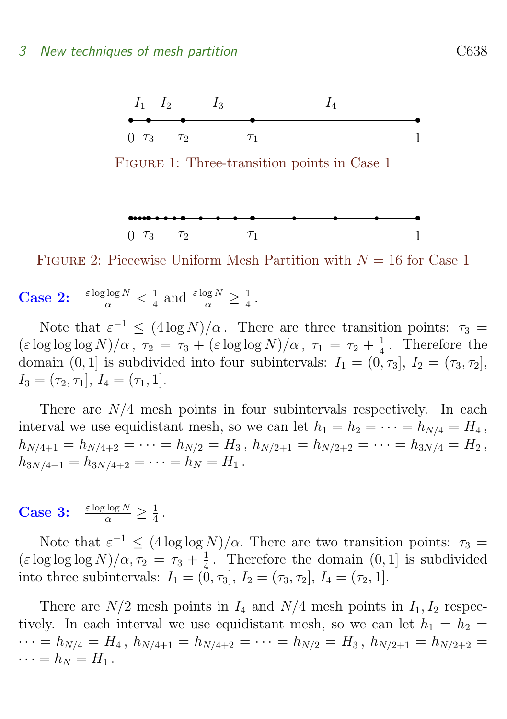

<span id="page-5-0"></span>Figure 1: Three-transition points in Case 1

<span id="page-5-1"></span>
$$
\begin{array}{cccccccc}\n\mathbf{0} & \mathbf{0} & \mathbf{0} & \mathbf{0} & \mathbf{0} & \mathbf{0} & \mathbf{0} & \mathbf{0} & \mathbf{0} & \mathbf{0} & \mathbf{0} & \mathbf{0} & \mathbf{0} & \mathbf{0} & \mathbf{0} & \mathbf{0} & \mathbf{0} & \mathbf{0} & \mathbf{0} & \mathbf{0} & \mathbf{0} & \mathbf{0} & \mathbf{0} & \mathbf{0} & \mathbf{0} & \mathbf{0} & \mathbf{0} & \mathbf{0} & \mathbf{0} & \mathbf{0} & \mathbf{0} & \mathbf{0} & \mathbf{0} & \mathbf{0} & \mathbf{0} & \mathbf{0} & \mathbf{0} & \mathbf{0} & \mathbf{0} & \mathbf{0} & \mathbf{0} & \mathbf{0} & \mathbf{0} & \mathbf{0} & \mathbf{0} & \mathbf{0} & \mathbf{0} & \mathbf{0} & \mathbf{0} & \mathbf{0} & \mathbf{0} & \mathbf{0} & \mathbf{0} & \mathbf{0} & \mathbf{0} & \mathbf{0} & \mathbf{0} & \mathbf{0} & \mathbf{0} & \mathbf{0} & \mathbf{0} & \mathbf{0} & \mathbf{0} & \mathbf{0} & \mathbf{0} & \mathbf{0} & \mathbf{0} & \mathbf{0} & \mathbf{0} & \mathbf{0} & \mathbf{0} & \mathbf{0} & \mathbf{0} & \mathbf{0} & \mathbf{0} & \mathbf{0} & \mathbf{0} & \mathbf{0} & \mathbf{0} & \mathbf{0} & \mathbf{0} & \mathbf{0} & \mathbf{0} & \mathbf{0} & \mathbf{0} & \mathbf{0} & \mathbf{0} & \mathbf{0} & \mathbf{0} & \mathbf{0} & \mathbf{0} & \mathbf{0} & \mathbf{0} & \mathbf{0} & \mathbf{0} & \mathbf{0} & \mathbf{0} & \mathbf{0} & \mathbf{0} & \mathbf{0} & \mathbf{0} & \mathbf{0} & \mathbf{0} & \mathbf{0} & \mathbf{0} & \mathbf{0} & \mathbf{0} & \math
$$

FIGURE 2: Piecewise Uniform Mesh Partition with  $N = 16$  for Case 1

#### **Case 2:**  $\frac{\varepsilon \log \log N}{\alpha} < \frac{1}{4}$  $rac{1}{4}$  and  $rac{\varepsilon \log N}{\alpha} \geq \frac{1}{4}$  $\frac{1}{4}$ .

Note that  $\varepsilon^{-1} \leq (4 \log N)/\alpha$ . There are three transition points:  $\tau_3 =$  $(\varepsilon \log \log \log N)/\alpha$ ,  $\tau_2 = \tau_3 + (\varepsilon \log \log N)/\alpha$ ,  $\tau_1 = \tau_2 + \frac{1}{4}$  $\frac{1}{4}$ . Therefore the domain  $(0, 1]$  is subdivided into four subintervals:  $I_1 = (0, \tau_3], I_2 = (\tau_3, \tau_2],$  $I_3 = (\tau_2, \tau_1], I_4 = (\tau_1, 1].$ 

There are  $N/4$  mesh points in four subintervals respectively. In each interval we use equidistant mesh, so we can let  $h_1 = h_2 = \cdots = h_{N/4} = H_4$ ,  $h_{N/4+1} = h_{N/4+2} = \cdots = h_{N/2} = H_3$ ,  $h_{N/2+1} = h_{N/2+2} = \cdots = h_{3N/4} = H_2$ ,  $h_{3N/4+1} = h_{3N/4+2} = \cdots = h_N = H_1$ .

#### **Case 3:**  $\frac{\varepsilon \log \log N}{\alpha} \geq \frac{1}{4}$  $\frac{1}{4}$ .

Note that  $\varepsilon^{-1} \leq (4 \log \log N)/\alpha$ . There are two transition points:  $\tau_3 =$  $(\varepsilon \log \log \log N)/\alpha$ ,  $\tau_2 = \tau_3 + \frac{1}{4}$  $\frac{1}{4}$ . Therefore the domain  $(0, 1]$  is subdivided into three subintervals:  $I_1 = (0, \tau_3], I_2 = (\tau_3, \tau_2], I_4 = (\tau_2, 1].$ 

There are  $N/2$  mesh points in  $I_4$  and  $N/4$  mesh points in  $I_1, I_2$  respectively. In each interval we use equidistant mesh, so we can let  $h_1 = h_2 =$  $\cdots = h_{N/4} = H_4$ ,  $h_{N/4+1} = h_{N/4+2} = \cdots = h_{N/2} = H_3$ ,  $h_{N/2+1} = h_{N/2+2} =$  $\cdots = h_N = H_1$ .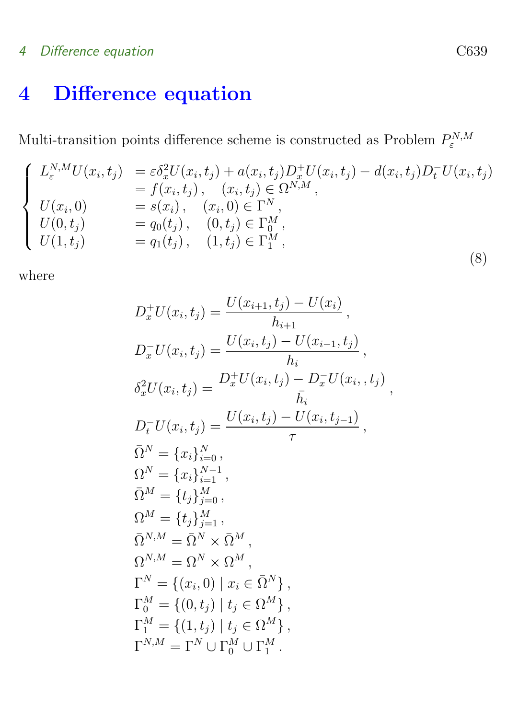### 4 Difference equation C639

# <span id="page-6-0"></span>4 Difference equation

Multi-transition points difference scheme is constructed as Problem  $P_{\varepsilon}^{N,M}$ 

$$
\begin{cases}\nL_{\varepsilon}^{N,M}U(x_i, t_j) &= \varepsilon \delta_x^2 U(x_i, t_j) + a(x_i, t_j) D_x^+ U(x_i, t_j) - d(x_i, t_j) D_t^- U(x_i, t_j) \\
= f(x_i, t_j), \quad (x_i, t_j) \in \Omega^{N,M}, \\
U(x_i, 0) &= s(x_i), \quad (x_i, 0) \in \Gamma^N, \\
U(0, t_j) &= q_0(t_j), \quad (0, t_j) \in \Gamma_0^M, \\
U(1, t_j) &= q_1(t_j), \quad (1, t_j) \in \Gamma_1^M,\n\end{cases}
$$
\n(8)

where

$$
D_x^+ U(x_i, t_j) = \frac{U(x_{i+1}, t_j) - U(x_i)}{h_{i+1}},
$$
  
\n
$$
D_x^- U(x_i, t_j) = \frac{U(x_i, t_j) - U(x_{i-1}, t_j)}{h_i},
$$
  
\n
$$
\delta_x^2 U(x_i, t_j) = \frac{D_x^+ U(x_i, t_j) - D_x^- U(x_i, t_j)}{\overline{h}_i},
$$
  
\n
$$
D_t^- U(x_i, t_j) = \frac{U(x_i, t_j) - U(x_i, t_{j-1})}{\tau},
$$
  
\n
$$
\overline{\Omega}^N = \{x_i\}_{i=0}^N,
$$
  
\n
$$
\Omega^N = \{t_j\}_{j=1}^M,
$$
  
\n
$$
\overline{\Omega}^M = \{t_j\}_{j=1}^M,
$$
  
\n
$$
\overline{\Omega}^{N,M} = \overline{\Omega}^N \times \overline{\Omega}^M,
$$
  
\n
$$
\Omega^{N,M} = \Omega^N \times \Omega^M,
$$
  
\n
$$
\Gamma^N = \{(x_i, 0) \mid x_i \in \overline{\Omega}^N\},
$$
  
\n
$$
\Gamma^M_0 = \{(0, t_j) \mid t_j \in \Omega^M\},
$$
  
\n
$$
\Gamma^M_1 = \{(1, t_j) \mid t_j \in \Omega^M\},
$$
  
\n
$$
\Gamma^{N,M} = \Gamma^N \cup \Gamma^M_0 \cup \Gamma^M_1.
$$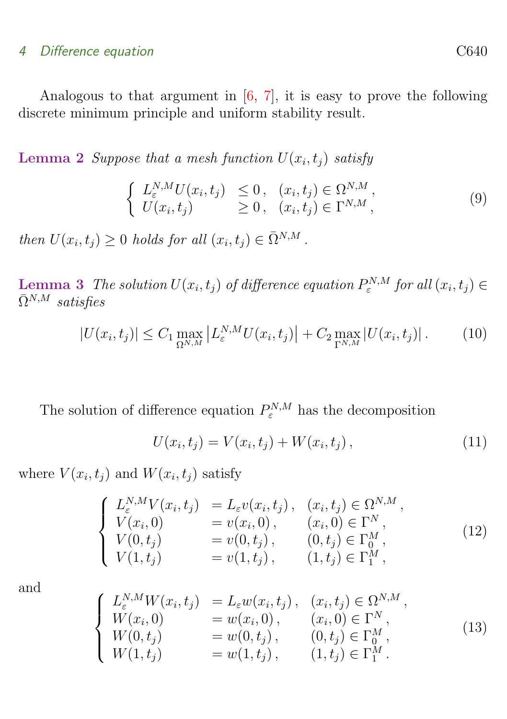#### <span id="page-7-3"></span>4 Difference equation C640

Analogous to that argument in [\[6,](#page-15-2) [7\]](#page-15-3), it is easy to prove the following discrete minimum principle and uniform stability result.

**Lemma 2** Suppose that a mesh function  $U(x_i, t_j)$  satisfy

$$
\begin{cases}\nL_{\varepsilon}^{N,M}U(x_i,t_j) \leq 0, & (x_i,t_j) \in \Omega^{N,M}, \\
U(x_i,t_j) \geq 0, & (x_i,t_j) \in \Gamma^{N,M},\n\end{cases} \tag{9}
$$

then  $U(x_i, t_j) \geq 0$  holds for all  $(x_i, t_j) \in \overline{\Omega}^{N,M}$ .

**Lemma 3** The solution  $U(x_i, t_j)$  of difference equation  $P_{\varepsilon}^{N,M}$  for all  $(x_i, t_j) \in$  $\bar{\Omega}^{N,M}$  satisfies

<span id="page-7-0"></span>
$$
|U(x_i, t_j)| \le C_1 \max_{\Omega^{N,M}} \left| L_{\varepsilon}^{N,M} U(x_i, t_j) \right| + C_2 \max_{\Gamma^{N,M}} |U(x_i, t_j)|. \tag{10}
$$

The solution of difference equation  $P_{\varepsilon}^{N,M}$  has the decomposition

$$
U(x_i, t_j) = V(x_i, t_j) + W(x_i, t_j), \qquad (11)
$$

where  $V(x_i, t_j)$  and  $W(x_i, t_j)$  satisfy

<span id="page-7-1"></span>
$$
\begin{cases}\nL_{\varepsilon}^{N,M}V(x_i, t_j) = L_{\varepsilon}v(x_i, t_j), & (x_i, t_j) \in \Omega^{N,M}, \\
V(x_i, 0) = v(x_i, 0), & (x_i, 0) \in \Gamma^N, \\
V(0, t_j) = v(0, t_j), & (0, t_j) \in \Gamma_0^M, \\
V(1, t_j) = v(1, t_j), & (1, t_j) \in \Gamma_1^M,\n\end{cases}
$$
\n(12)

and

<span id="page-7-2"></span>
$$
\begin{cases}\nL_{\varepsilon}^{N,M}W(x_i, t_j) = L_{\varepsilon}w(x_i, t_j), & (x_i, t_j) \in \Omega^{N,M}, \\
W(x_i, 0) = w(x_i, 0), & (x_i, 0) \in \Gamma^N, \\
W(0, t_j) = w(0, t_j), & (0, t_j) \in \Gamma_0^M, \\
W(1, t_j) = w(1, t_j), & (1, t_j) \in \Gamma_1^M.\n\end{cases}
$$
\n(13)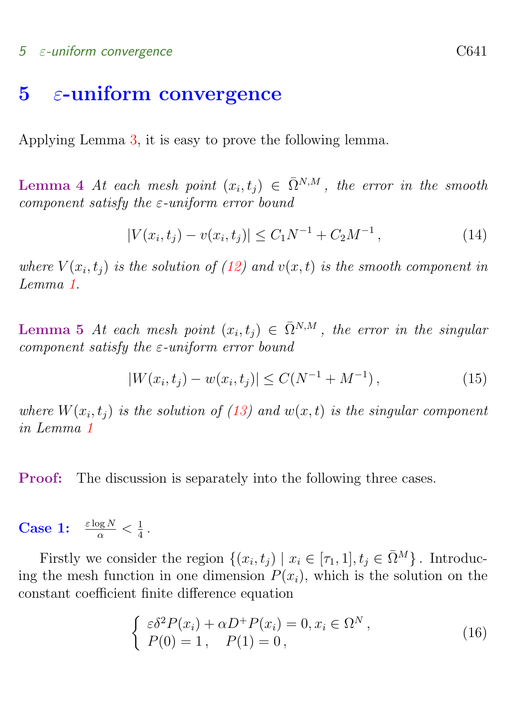#### $5 \epsilon$ -uniform convergence  $C641$

### <span id="page-8-0"></span>**5** ε-uniform convergence

Applying Lemma [3,](#page-7-0) it is easy to prove the following lemma.

**Lemma** 4 At each mesh point  $(x_i, t_j) \in \overline{\Omega}^{N,M}$ , the error in the smooth component satisfy the  $\varepsilon$ -uniform error bound

<span id="page-8-2"></span>
$$
|V(x_i, t_j) - v(x_i, t_j)| \le C_1 N^{-1} + C_2 M^{-1}, \tag{14}
$$

where  $V(x_i, t_j)$  is the solution of [\(12\)](#page-7-1) and  $v(x, t)$  is the smooth component in Lemma [1.](#page-3-1)

**Lemma 5** At each mesh point  $(x_i, t_j) \in \overline{\Omega}^{N,M}$ , the error in the singular component satisfy the  $\varepsilon$ -uniform error bound

<span id="page-8-1"></span>
$$
|W(x_i, t_j) - w(x_i, t_j)| \le C(N^{-1} + M^{-1}), \qquad (15)
$$

where  $W(x_i, t_j)$  is the solution of [\(13\)](#page-7-2) and  $w(x, t)$  is the singular component in Lemma [1](#page-3-1)

Proof: The discussion is separately into the following three cases.

**Case 1:**  $\frac{\varepsilon \log N}{\alpha} < \frac{1}{4}$  $\frac{1}{4}$  .

Firstly we consider the region  $\{(x_i, t_j) | x_i \in [\tau_1, 1], t_j \in \bar{\Omega}^M\}$ . Introducing the mesh function in one dimension  $P(x_i)$ , which is the solution on the constant coefficient finite difference equation

$$
\begin{cases}\n\varepsilon \delta^2 P(x_i) + \alpha D^+ P(x_i) = 0, x_i \in \Omega^N, \\
P(0) = 1, \quad P(1) = 0,\n\end{cases}
$$
\n(16)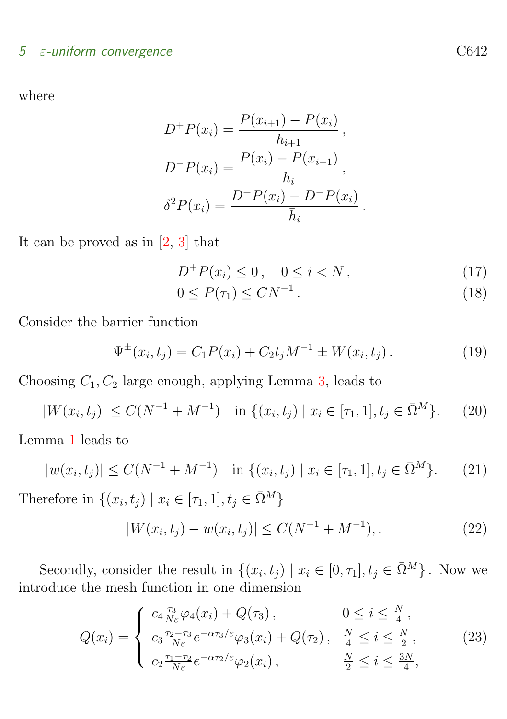### <span id="page-9-1"></span> $5$   $\varepsilon$ -uniform convergence  $C642$

where

$$
D^{+}P(x_{i}) = \frac{P(x_{i+1}) - P(x_{i})}{h_{i+1}},
$$
  
\n
$$
D^{-}P(x_{i}) = \frac{P(x_{i}) - P(x_{i-1})}{h_{i}},
$$
  
\n
$$
\delta^{2}P(x_{i}) = \frac{D^{+}P(x_{i}) - D^{-}P(x_{i})}{\bar{h}_{i}}.
$$

It can be proved as in [\[2,](#page-15-5) [3\]](#page-15-1) that

$$
D^{+}P(x_{i}) \leq 0, \quad 0 \leq i < N \,, \tag{17}
$$

$$
0 \le P(\tau_1) \le CN^{-1} \,. \tag{18}
$$

Consider the barrier function

$$
\Psi^{\pm}(x_i, t_j) = C_1 P(x_i) + C_2 t_j M^{-1} \pm W(x_i, t_j).
$$
 (19)

Choosing  $C_1, C_2$  large enough, applying Lemma [3,](#page-7-0) leads to

$$
|W(x_i, t_j)| \le C(N^{-1} + M^{-1}) \quad \text{in } \{(x_i, t_j) \mid x_i \in [\tau_1, 1], t_j \in \bar{\Omega}^M\}. \tag{20}
$$

Lemma [1](#page-3-1) leads to

$$
|w(x_i, t_j)| \le C(N^{-1} + M^{-1}) \quad \text{in } \{(x_i, t_j) \mid x_i \in [\tau_1, 1], t_j \in \bar{\Omega}^M\}. \tag{21}
$$

Therefore in  $\{(x_i, t_j) \mid x_i \in [\tau_1, 1], t_j \in \overline{\Omega}^M\}$ 

<span id="page-9-0"></span>
$$
|W(x_i, t_j) - w(x_i, t_j)| \le C(N^{-1} + M^{-1}),
$$
\n(22)

Secondly, consider the result in  $\{(x_i, t_j) | x_i \in [0, \tau_1], t_j \in \bar{\Omega}^M\}$ . Now we introduce the mesh function in one dimension

$$
Q(x_i) = \begin{cases} c_4 \frac{\tau_3}{N\varepsilon} \varphi_4(x_i) + Q(\tau_3), & 0 \le i \le \frac{N}{4}, \\ c_3 \frac{\tau_2 - \tau_3}{N\varepsilon} e^{-\alpha \tau_3/\varepsilon} \varphi_3(x_i) + Q(\tau_2), & \frac{N}{4} \le i \le \frac{N}{2}, \\ c_2 \frac{\tau_1 - \tau_2}{N\varepsilon} e^{-\alpha \tau_2/\varepsilon} \varphi_2(x_i), & \frac{N}{2} \le i \le \frac{3N}{4}, \end{cases}
$$
(23)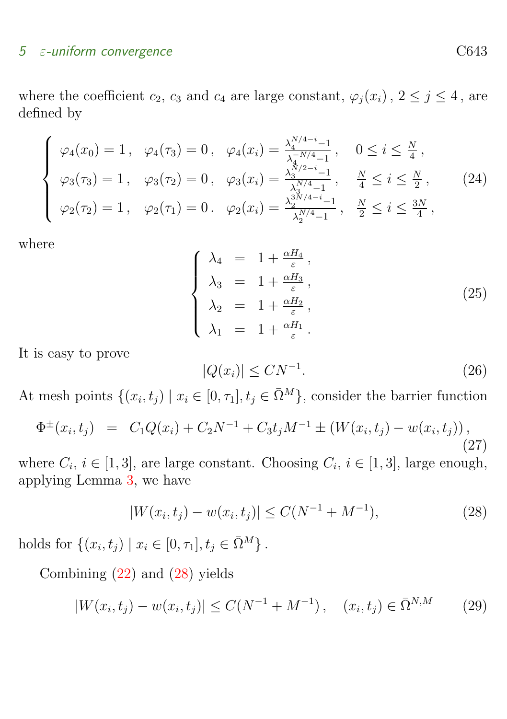#### $5$   $\varepsilon$ -uniform convergence  $C643$

where the coefficient  $c_2$ ,  $c_3$  and  $c_4$  are large constant,  $\varphi_j(x_i)$ ,  $2 \leq j \leq 4$ , are defined by

$$
\begin{cases}\n\varphi_4(x_0) = 1, & \varphi_4(\tau_3) = 0, & \varphi_4(x_i) = \frac{\lambda_4^{N/4 - i} - 1}{\lambda_4^{-N/4} - 1}, & 0 \le i \le \frac{N}{4}, \\
\varphi_3(\tau_3) = 1, & \varphi_3(\tau_2) = 0, & \varphi_3(x_i) = \frac{\lambda_3^{N/2 - i} - 1}{\lambda_3^{N/4} - 1}, & \frac{N}{4} \le i \le \frac{N}{2}, \\
\varphi_2(\tau_2) = 1, & \varphi_2(\tau_1) = 0. & \varphi_2(x_i) = \frac{\lambda_2^{3N/4 - i} - 1}{\lambda_2^{N/4} - 1}, & \frac{N}{2} \le i \le \frac{3N}{4},\n\end{cases}
$$
\n(24)

where

$$
\begin{cases}\n\lambda_4 = 1 + \frac{\alpha H_4}{\varepsilon}, \\
\lambda_3 = 1 + \frac{\alpha H_3}{\varepsilon}, \\
\lambda_2 = 1 + \frac{\alpha H_2}{\varepsilon}, \\
\lambda_1 = 1 + \frac{\alpha H_1}{\varepsilon}.\n\end{cases}
$$
\n(25)

It is easy to prove

$$
|Q(x_i)| \le CN^{-1}.\tag{26}
$$

At mesh points  $\{(x_i, t_j) \mid x_i \in [0, \tau_1], t_j \in \bar{\Omega}^M\}$ , consider the barrier function

$$
\Phi^{\pm}(x_i, t_j) = C_1 Q(x_i) + C_2 N^{-1} + C_3 t_j M^{-1} \pm (W(x_i, t_j) - w(x_i, t_j)),
$$
\n(27)

where  $C_i$ ,  $i \in [1,3]$ , are large constant. Choosing  $C_i$ ,  $i \in [1,3]$ , large enough, applying Lemma [3,](#page-7-0) we have

<span id="page-10-0"></span>
$$
|W(x_i, t_j) - w(x_i, t_j)| \le C(N^{-1} + M^{-1}),
$$
\n(28)

holds for  $\{(x_i, t_j) | x_i \in [0, \tau_1], t_j \in \bar{\Omega}^M\}$ .

Combining [\(22\)](#page-9-0) and [\(28\)](#page-10-0) yields

$$
|W(x_i, t_j) - w(x_i, t_j)| \le C(N^{-1} + M^{-1}), \quad (x_i, t_j) \in \bar{\Omega}^{N,M}
$$
 (29)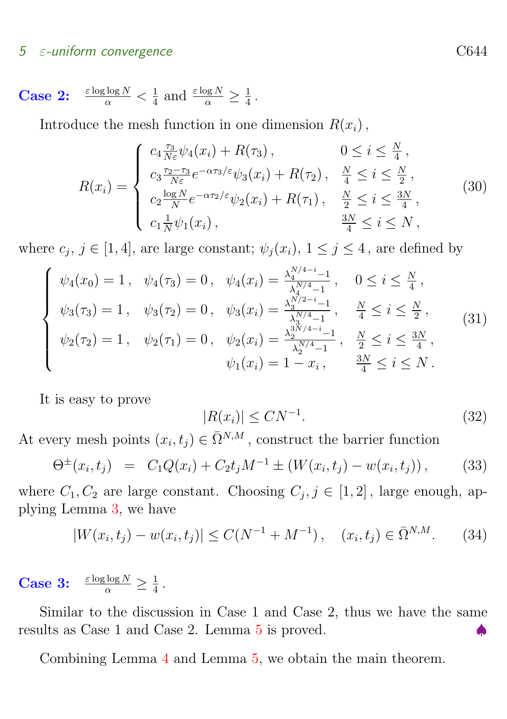#### $5 \epsilon$ -uniform convergence  $C644$

Case 2: 
$$
\frac{\varepsilon \log \log N}{\alpha} < \frac{1}{4}
$$
 and  $\frac{\varepsilon \log N}{\alpha} \geq \frac{1}{4}$ .

Introduce the mesh function in one dimension  $R(x_i)$ ,

$$
R(x_i) = \begin{cases} c_4 \frac{\tau_3}{N\varepsilon} \psi_4(x_i) + R(\tau_3), & 0 \le i \le \frac{N}{4}, \\ c_3 \frac{\tau_2 - \tau_3}{N\varepsilon} e^{-\alpha \tau_3/\varepsilon} \psi_3(x_i) + R(\tau_2), & \frac{N}{4} \le i \le \frac{N}{2}, \\ c_2 \frac{\log N}{N} e^{-\alpha \tau_2/\varepsilon} \psi_2(x_i) + R(\tau_1), & \frac{N}{2} \le i \le \frac{3N}{4}, \\ c_1 \frac{1}{N} \psi_1(x_i), & \frac{3N}{4} \le i \le N, \end{cases}
$$
(30)

where  $c_j$ ,  $j \in [1, 4]$ , are large constant;  $\psi_j(x_i)$ ,  $1 \leq j \leq 4$ , are defined by

$$
\begin{cases}\n\psi_4(x_0) = 1, & \psi_4(\tau_3) = 0, & \psi_4(x_i) = \frac{\lambda_4^{N/4 - i} - 1}{\lambda_4^{N/4} - 1}, & 0 \le i \le \frac{N}{4}, \\
\psi_3(\tau_3) = 1, & \psi_3(\tau_2) = 0, & \psi_3(x_i) = \frac{\lambda_3^{N/2 - i} - 1}{\lambda_3^{N/4} - 1}, & \frac{N}{4} \le i \le \frac{N}{2}, \\
\psi_2(\tau_2) = 1, & \psi_2(\tau_1) = 0, & \psi_2(x_i) = \frac{\lambda_2^{3N/4 - i} - 1}{\lambda_2^{N/4} - 1}, & \frac{N}{2} \le i \le \frac{3N}{4}, \\
\psi_1(x_i) = 1 - x_i, & \frac{3N}{4} \le i \le N.\n\end{cases} (31)
$$

It is easy to prove

$$
|R(x_i)| \leq CN^{-1}.\tag{32}
$$

At every mesh points  $(x_i, t_j) \in \overline{\Omega}^{N,M}$ , construct the barrier function

$$
\Theta^{\pm}(x_i, t_j) = C_1 Q(x_i) + C_2 t_j M^{-1} \pm (W(x_i, t_j) - w(x_i, t_j)), \quad (33)
$$

where  $C_1, C_2$  are large constant. Choosing  $C_j, j \in [1, 2]$ , large enough, applying Lemma [3,](#page-7-0) we have

$$
|W(x_i, t_j) - w(x_i, t_j)| \le C(N^{-1} + M^{-1}), \quad (x_i, t_j) \in \bar{\Omega}^{N,M}.
$$
 (34)

**Case 3:**  $\frac{\varepsilon \log \log N}{\alpha} \geq \frac{1}{4}$  $\frac{1}{4}$ .

Similar to the discussion in Case 1 and Case 2, thus we have the same results as Case 1 and Case 2. Lemma  $5$  is proved.

Combining Lemma [4](#page-8-2) and Lemma [5,](#page-8-1) we obtain the main theorem.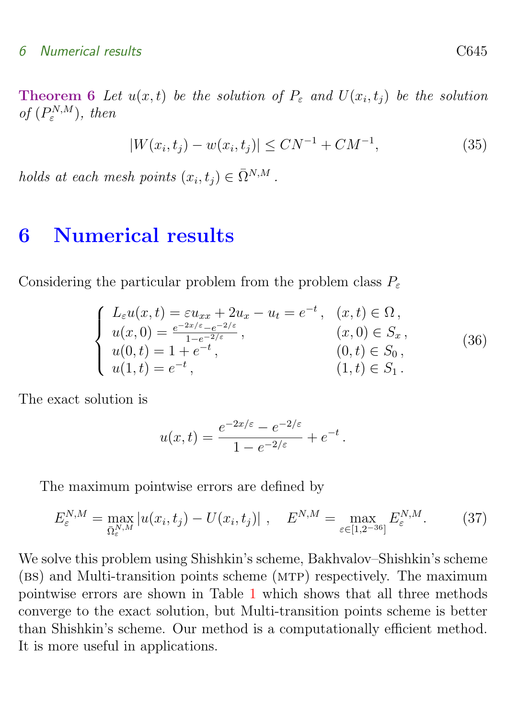**Theorem 6** Let  $u(x,t)$  be the solution of  $P_{\varepsilon}$  and  $U(x_i,t_j)$  be the solution of  $(P_{\varepsilon}^{N,M})$ , then

$$
|W(x_i, t_j) - w(x_i, t_j)| \le CN^{-1} + CM^{-1},\tag{35}
$$

holds at each mesh points  $(x_i, t_j) \in \overline{\Omega}^{N,M}$ .

## <span id="page-12-0"></span>6 Numerical results

Considering the particular problem from the problem class  $P_{\varepsilon}$ 

$$
\begin{cases}\nL_{\varepsilon}u(x,t) = \varepsilon u_{xx} + 2u_x - u_t = e^{-t}, & (x,t) \in \Omega, \\
u(x,0) = \frac{e^{-2x/\varepsilon} - e^{-2/\varepsilon}}{1 - e^{-2/\varepsilon}}, & (x,0) \in S_x, \\
u(0,t) = 1 + e^{-t}, & (0,t) \in S_0, \\
u(1,t) = e^{-t}, & (1,t) \in S_1.\n\end{cases}
$$
\n(36)

The exact solution is

$$
u(x,t) = \frac{e^{-2x/\varepsilon} - e^{-2/\varepsilon}}{1 - e^{-2/\varepsilon}} + e^{-t}.
$$

The maximum pointwise errors are defined by

$$
E_{\varepsilon}^{N,M} = \max_{\bar{\Omega}_{\varepsilon}^{N,M}} |u(x_i, t_j) - U(x_i, t_j)| \ , \quad E_{\varepsilon}^{N,M} = \max_{\varepsilon \in [1, 2^{-36}]} E_{\varepsilon}^{N,M} . \tag{37}
$$

We solve this problem using Shishkin's scheme, Bakhvalov–Shishkin's scheme (bs) and Multi-transition points scheme (mtp) respectively. The maximum pointwise errors are shown in Table [1](#page-13-1) which shows that all three methods converge to the exact solution, but Multi-transition points scheme is better than Shishkin's scheme. Our method is a computationally efficient method. It is more useful in applications.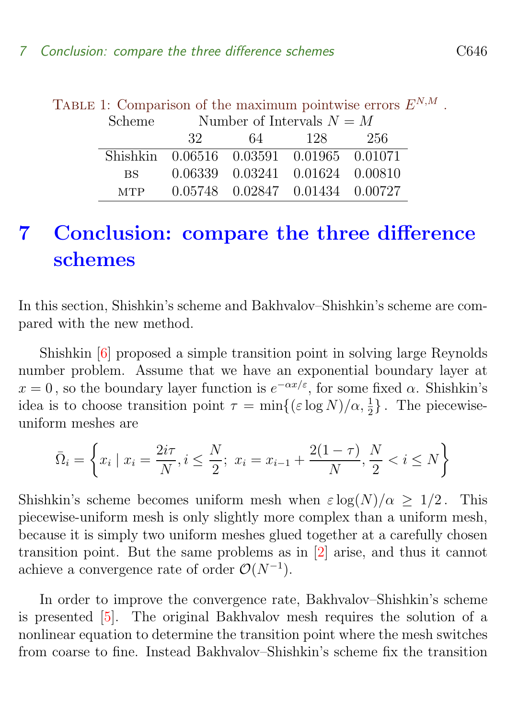<span id="page-13-1"></span>

| TABLE 1: Comparison of the maximum pointwise errors $E^{N,M}$ |                                          |                                     |                                    |  |  |  |
|---------------------------------------------------------------|------------------------------------------|-------------------------------------|------------------------------------|--|--|--|
|                                                               |                                          | Scheme Number of Intervals $N = M$  |                                    |  |  |  |
|                                                               |                                          | 32                                  | 64 128 256                         |  |  |  |
|                                                               | Shishkin 0.06516 0.03591 0.01965 0.01071 |                                     |                                    |  |  |  |
|                                                               | BS —                                     |                                     | 0.06339  0.03241  0.01624  0.00810 |  |  |  |
|                                                               |                                          | MTP 0.05748 0.02847 0.01434 0.00727 |                                    |  |  |  |

<span id="page-13-2"></span>TABLE 1: Comparison of the maximum pointwise errors  $E$  $N,M$ .

## <span id="page-13-0"></span>7 Conclusion: compare the three difference schemes

In this section, Shishkin's scheme and Bakhvalov–Shishkin's scheme are compared with the new method.

Shishkin [\[6\]](#page-15-2) proposed a simple transition point in solving large Reynolds number problem. Assume that we have an exponential boundary layer at  $x = 0$ , so the boundary layer function is  $e^{-\alpha x/\varepsilon}$ , for some fixed  $\alpha$ . Shishkin's idea is to choose transition point  $\tau = \min\{(\varepsilon \log N)/\alpha, \frac{1}{2}\}\.$  The piecewiseuniform meshes are

$$
\bar{\Omega}_i = \left\{ x_i \mid x_i = \frac{2i\tau}{N}, i \le \frac{N}{2}; \ x_i = x_{i-1} + \frac{2(1-\tau)}{N}, \frac{N}{2} < i \le N \right\}
$$

Shishkin's scheme becomes uniform mesh when  $\varepsilon \log(N)/\alpha > 1/2$ . This piecewise-uniform mesh is only slightly more complex than a uniform mesh, because it is simply two uniform meshes glued together at a carefully chosen transition point. But the same problems as in [\[2\]](#page-15-5) arise, and thus it cannot achieve a convergence rate of order  $\mathcal{O}(N^{-1})$ .

In order to improve the convergence rate, Bakhvalov–Shishkin's scheme is presented [\[5\]](#page-15-7). The original Bakhvalov mesh requires the solution of a nonlinear equation to determine the transition point where the mesh switches from coarse to fine. Instead Bakhvalov–Shishkin's scheme fix the transition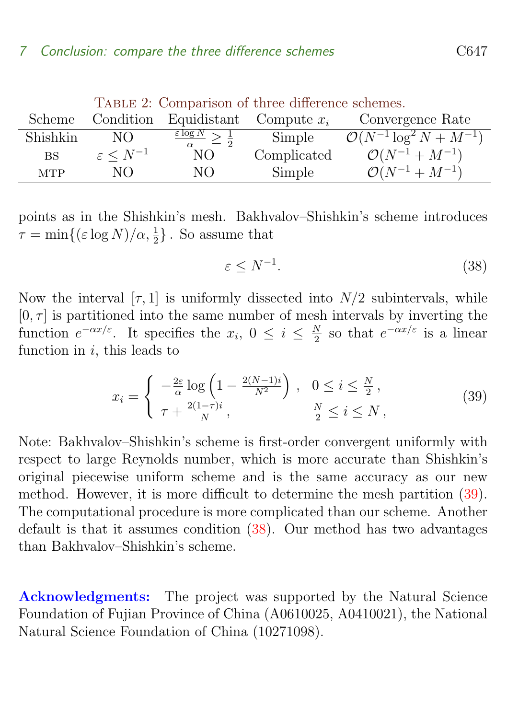#### 7 Conclusion: compare the three difference schemes C647

|            | TADLE 2. COMparison of three difference scrientes. |                                                      |             |                                         |  |
|------------|----------------------------------------------------|------------------------------------------------------|-------------|-----------------------------------------|--|
| Scheme     | Condition                                          | Equidistant Compute $x_i$                            |             | Convergence Rate                        |  |
| Shishkin   | NO.                                                | $\frac{\varepsilon \log N}{\alpha} \geq \frac{1}{2}$ | Simple      | $\mathcal{O}(N^{-1} \log^2 N + M^{-1})$ |  |
| BS         | $\varepsilon \leq N^{-1}$                          | NО                                                   | Complicated | $\mathcal{O}(N^{-1}+M^{-1})$            |  |
| <b>MTP</b> | NO.                                                | NO.                                                  | Simple      | $\mathcal{O}(N^{-1}+M^{-1})$            |  |

Table 2: Comparison of three difference schemes

points as in the Shishkin's mesh. Bakhvalov–Shishkin's scheme introduces  $\tau = \min\{(\varepsilon \log N)/\alpha, \frac{1}{2}\}.$  So assume that

<span id="page-14-1"></span>
$$
\varepsilon \le N^{-1}.\tag{38}
$$

Now the interval  $[\tau, 1]$  is uniformly dissected into  $N/2$  subintervals, while  $[0, \tau]$  is partitioned into the same number of mesh intervals by inverting the function  $e^{-\alpha x/\varepsilon}$ . It specifies the  $x_i, 0 \leq i \leq \frac{N}{2}$  $\frac{N}{2}$  so that  $e^{-\alpha x/\varepsilon}$  is a linear function in  $i$ , this leads to

<span id="page-14-0"></span>
$$
x_i = \begin{cases} -\frac{2\varepsilon}{\alpha} \log \left( 1 - \frac{2(N-1)i}{N^2} \right) , & 0 \le i \le \frac{N}{2} ,\\ \tau + \frac{2(1-\tau)i}{N} , & \frac{N}{2} \le i \le N , \end{cases}
$$
(39)

Note: Bakhvalov–Shishkin's scheme is first-order convergent uniformly with respect to large Reynolds number, which is more accurate than Shishkin's original piecewise uniform scheme and is the same accuracy as our new method. However, it is more difficult to determine the mesh partition [\(39\)](#page-14-0). The computational procedure is more complicated than our scheme. Another default is that it assumes condition [\(38\)](#page-14-1). Our method has two advantages than Bakhvalov–Shishkin's scheme.

Acknowledgments: The project was supported by the Natural Science Foundation of Fujian Province of China (A0610025, A0410021), the National Natural Science Foundation of China (10271098).